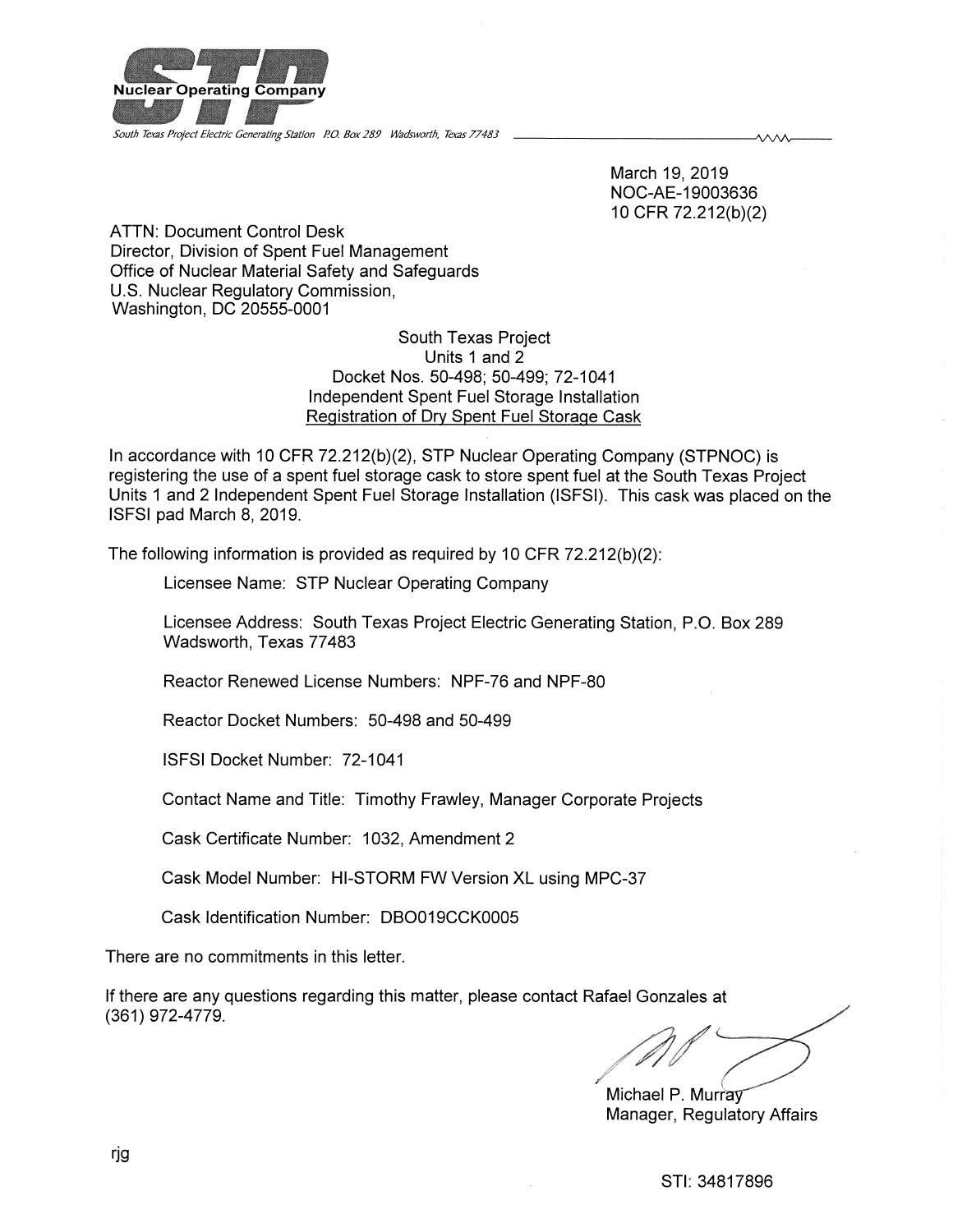

South Texas Project Electric Generating Station P.O. Box 289 Wadsworth. Texas 77483

March 19, 2019 NOC-AE-19003636 10CFR 72.212(b)(2)

ᄾᄉᄉᄉ

ATTN: Document Control Desk Director, Division of Spent Fuel Management Office of Nuclear Material Safety and Safeguards U.S. Nuclear Regulatory Commission, Washington, DC 20555-0001

> South Texas Project Units 1 and 2 Docket Nos. 50-498; 50-499; 72-1041 Independent Spent Fuel Storage Installation Registration of Dry Spent Fuel Storage Cask

In accordance with 10 CFR 72.212(b)(2), STP Nuclear Operating Company (STPNOC) is registering the use of a spent fuel storage cask to store spent fuel at the South Texas Project Units 1 and 2 Independent Spent Fuel Storage Installation (ISFSI). This cask was placed on the ISFSI pad March 8, 2019.

The following information is provided as required by 10 CFR 72.212(b)(2):

Licensee Name: STP Nuclear Operating Company

Licensee Address: South Texas Project Electric Generating Station, P.O. Box 289 Wadsworth, Texas 77483

Reactor Renewed License Numbers: NPF-76 and NPF-80

Reactor Docket Numbers: 50-498 and 50-499

ISFSI Docket Number: 72-1041

Contact Name and Title: Timothy Frawley, Manager Corporate Projects

Cask Certificate Number: 1032, Amendment 2

Cask Model Number: HI-STORM FW Version XL using MPC-37

Cask Identification Number: DB0019CCK0005

There are no commitments in this letter.

If there are any questions regarding this matter, please contact Rafael Gonzales at (361)972-4779.

Michael P. Murray Manager, Regulatory Affairs

/